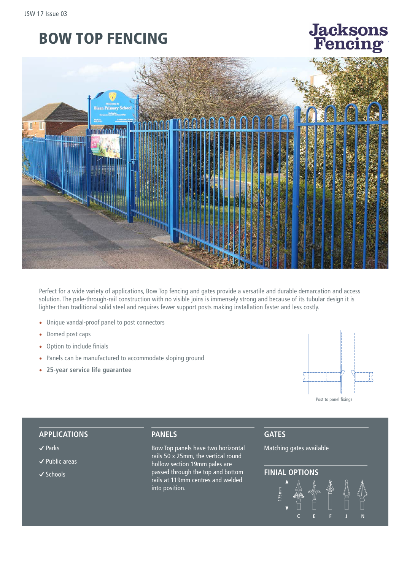# BOW TOP FENCING

# **Jacksons** encing



Perfect for a wide variety of applications, Bow Top fencing and gates provide a versatile and durable demarcation and access solution. The pale-through-rail construction with no visible joins is immensely strong and because of its tubular design it is lighter than traditional solid steel and requires fewer support posts making installation faster and less costly.

- Unique vandal-proof panel to post connectors
- Domed post caps
- Option to include finials
- Panels can be manufactured to accommodate sloping ground
- **25-year service life guarantee**



#### **APPLICATIONS**

- **�** Parks
- **�** Public areas
- **�** Schools

### **PANELS**

Bow Top panels have two horizontal rails 50 x 25mm, the vertical round hollow section 19mm pales are passed through the top and bottom rails at 119mm centres and welded into position.

**GATES**

Matching gates available